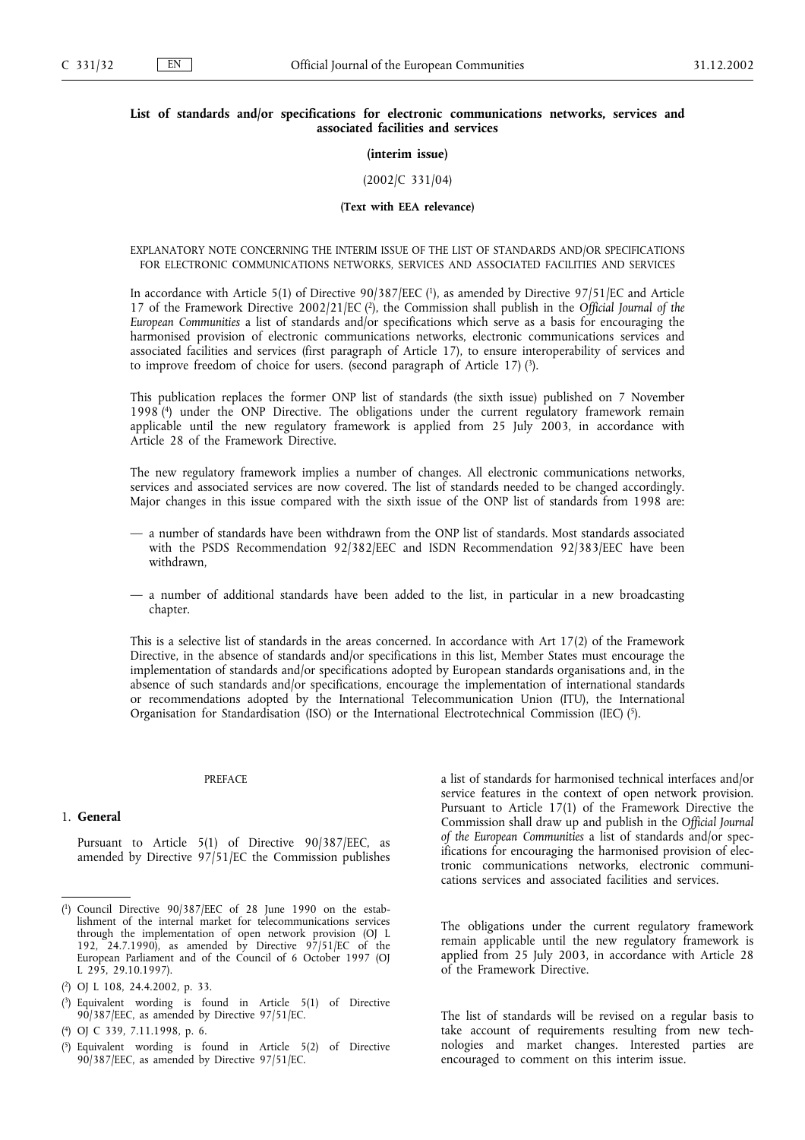## **List of standards and/or specifications for electronic communications networks, services and associated facilities and services**

#### **(interim issue)**

#### (2002/C 331/04)

#### **(Text with EEA relevance)**

### EXPLANATORY NOTE CONCERNING THE INTERIM ISSUE OF THE LIST OF STANDARDS AND/OR SPECIFICATIONS FOR ELECTRONIC COMMUNICATIONS NETWORKS, SERVICES AND ASSOCIATED FACILITIES AND SERVICES

In accordance with Article 5(1) of Directive 90/387/EEC (1), as amended by Directive 97/51/EC and Article 17 of the Framework Directive 2002/21/EC (2), the Commission shall publish in the *Official Journal of the European Communities* a list of standards and/or specifications which serve as a basis for encouraging the harmonised provision of electronic communications networks, electronic communications services and associated facilities and services (first paragraph of Article 17), to ensure interoperability of services and to improve freedom of choice for users. (second paragraph of Article 17)  $(3)$ .

This publication replaces the former ONP list of standards (the sixth issue) published on 7 November 1998 (4) under the ONP Directive. The obligations under the current regulatory framework remain applicable until the new regulatory framework is applied from 25 July 2003, in accordance with Article 28 of the Framework Directive.

The new regulatory framework implies a number of changes. All electronic communications networks, services and associated services are now covered. The list of standards needed to be changed accordingly. Major changes in this issue compared with the sixth issue of the ONP list of standards from 1998 are:

- a number of standards have been withdrawn from the ONP list of standards. Most standards associated with the PSDS Recommendation 92/382/EEC and ISDN Recommendation 92/383/EEC have been withdrawn,
- a number of additional standards have been added to the list, in particular in a new broadcasting chapter.

This is a selective list of standards in the areas concerned. In accordance with Art 17(2) of the Framework Directive, in the absence of standards and/or specifications in this list, Member States must encourage the implementation of standards and/or specifications adopted by European standards organisations and, in the absence of such standards and/or specifications, encourage the implementation of international standards or recommendations adopted by the International Telecommunication Union (ITU), the International Organisation for Standardisation (ISO) or the International Electrotechnical Commission (IEC) (5).

#### PREFACE

#### 1. **General**

Pursuant to Article 5(1) of Directive 90/387/EEC, as amended by Directive 97/51/EC the Commission publishes

- ( 3) Equivalent wording is found in Article 5(1) of Directive 90/387/EEC, as amended by Directive 97/51/EC.
- ( 4) OJ C 339, 7.11.1998, p. 6.
- ( 5) Equivalent wording is found in Article 5(2) of Directive 90/387/EEC, as amended by Directive 97/51/EC.

a list of standards for harmonised technical interfaces and/or service features in the context of open network provision. Pursuant to Article 17(1) of the Framework Directive the Commission shall draw up and publish in the *Official Journal of the European Communities* a list of standards and/or specifications for encouraging the harmonised provision of electronic communications networks, electronic communications services and associated facilities and services.

The obligations under the current regulatory framework remain applicable until the new regulatory framework is applied from 25 July 2003, in accordance with Article 28 of the Framework Directive.

The list of standards will be revised on a regular basis to take account of requirements resulting from new technologies and market changes. Interested parties are encouraged to comment on this interim issue.

 $(1)$ 1) Council Directive 90/387/EEC of 28 June 1990 on the establishment of the internal market for telecommunications services through the implementation of open network provision (OJ L 192,  $24.7.1990$ , as amended by Directive  $97/51/EC$  of the European Parliament and of the Council of 6 October 1997 (OJ L 295, 29.10.1997).

<sup>(</sup> 2) OJ L 108, 24.4.2002, p. 33.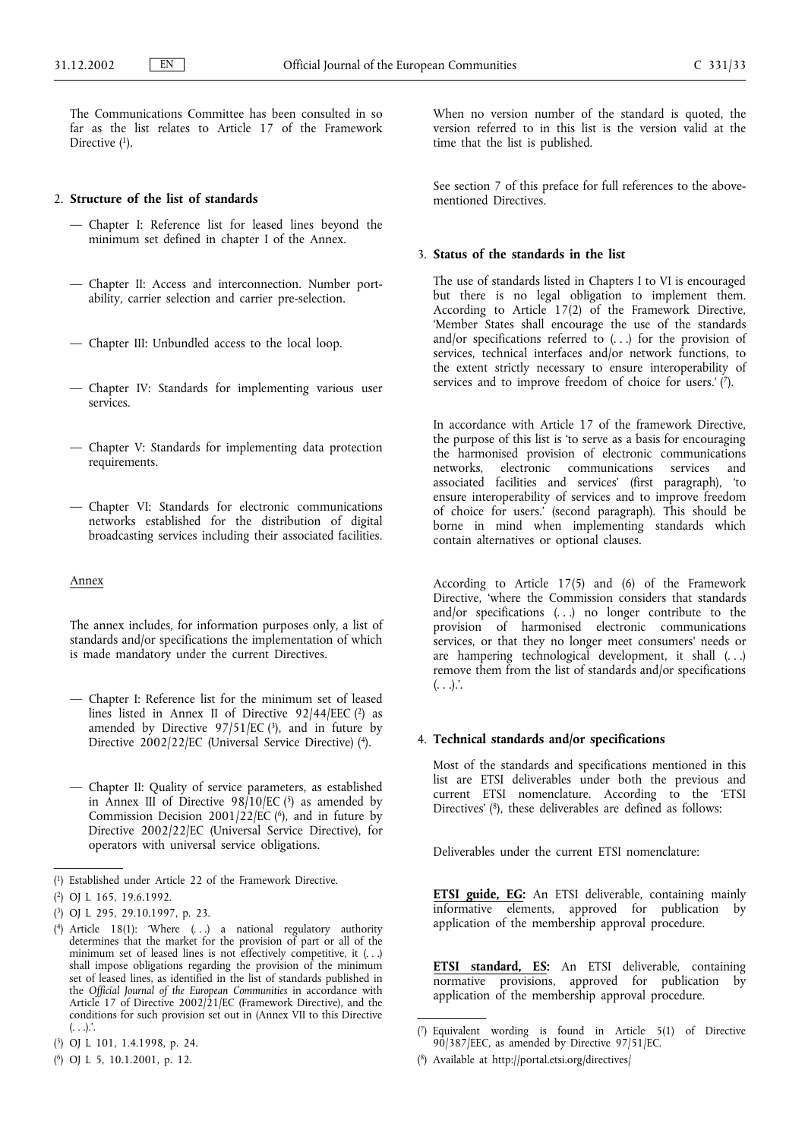The Communications Committee has been consulted in so far as the list relates to Article 17 of the Framework Directive  $(1)$ .

## 2. **Structure of the list of standards**

- Chapter I: Reference list for leased lines beyond the minimum set defined in chapter I of the Annex.
- Chapter II: Access and interconnection. Number portability, carrier selection and carrier pre-selection.
- Chapter III: Unbundled access to the local loop.
- Chapter IV: Standards for implementing various user services.
- Chapter V: Standards for implementing data protection requirements.
- Chapter VI: Standards for electronic communications networks established for the distribution of digital broadcasting services including their associated facilities.

## Annex

The annex includes, for information purposes only, a list of standards and/or specifications the implementation of which is made mandatory under the current Directives.

- Chapter I: Reference list for the minimum set of leased lines listed in Annex II of Directive 92/44/EEC (2) as amended by Directive  $97/51/EC$  (3), and in future by Directive 2002/22/EC (Universal Service Directive) (4).
- Chapter II: Quality of service parameters, as established in Annex III of Directive  $98/10$ /EC  $(5)$  as amended by Commission Decision  $2001/22/EC$  ( $6$ ), and in future by Directive 2002/22/EC (Universal Service Directive), for operators with universal service obligations.

When no version number of the standard is quoted, the version referred to in this list is the version valid at the time that the list is published.

See section 7 of this preface for full references to the abovementioned Directives.

#### 3. **Status of the standards in the list**

The use of standards listed in Chapters I to VI is encouraged but there is no legal obligation to implement them. According to Article 17(2) of the Framework Directive, 'Member States shall encourage the use of the standards and/or specifications referred to (. . .) for the provision of services, technical interfaces and/or network functions, to the extent strictly necessary to ensure interoperability of services and to improve freedom of choice for users.'  $(\vec{r})$ .

In accordance with Article 17 of the framework Directive, the purpose of this list is 'to serve as a basis for encouraging the harmonised provision of electronic communications electronic communications services and associated facilities and services' (first paragraph), 'to ensure interoperability of services and to improve freedom of choice for users.' (second paragraph). This should be borne in mind when implementing standards which contain alternatives or optional clauses.

According to Article 17(5) and (6) of the Framework Directive, 'where the Commission considers that standards and/or specifications (. . .) no longer contribute to the provision of harmonised electronic communications services, or that they no longer meet consumers' needs or are hampering technological development, it shall (. . .) remove them from the list of standards and/or specifications  $( \ldots )$ .

## 4. **Technical standards and/or specifications**

Most of the standards and specifications mentioned in this list are ETSI deliverables under both the previous and current ETSI nomenclature. According to the 'ETSI Directives' (8), these deliverables are defined as follows:

Deliverables under the current ETSI nomenclature:

**ETSI guide, EG:** An ETSI deliverable, containing mainly informative elements, approved for publication by application of the membership approval procedure.

**ETSI standard, ES:** An ETSI deliverable, containing normative provisions, approved for publication by application of the membership approval procedure.

<sup>(</sup> 1) Established under Article 22 of the Framework Directive.

<sup>(</sup> 2) OJ L 165, 19.6.1992.

<sup>(</sup> 3) OJ L 295, 29.10.1997, p. 23.

<sup>(</sup> 4) Article 18(1): 'Where (. . .) a national regulatory authority determines that the market for the provision of part or all of the minimum set of leased lines is not effectively competitive, it  $(. . .)$ shall impose obligations regarding the provision of the minimum set of leased lines, as identified in the list of standards published in the *Official Journal of the European Communities* in accordance with Article 17 of Directive 2002/21/EC (Framework Directive), and the conditions for such provision set out in (Annex VII to this Directive (. . .).'.

<sup>(</sup> 5) OJ L 101, 1.4.1998, p. 24.

<sup>(</sup> 6) OJ L 5, 10.1.2001, p. 12.

<sup>(</sup> 7) Equivalent wording is found in Article 5(1) of Directive 90/387/EEC, as amended by Directive 97/51/EC.

<sup>(</sup> 8) Available at http://portal.etsi.org/directives/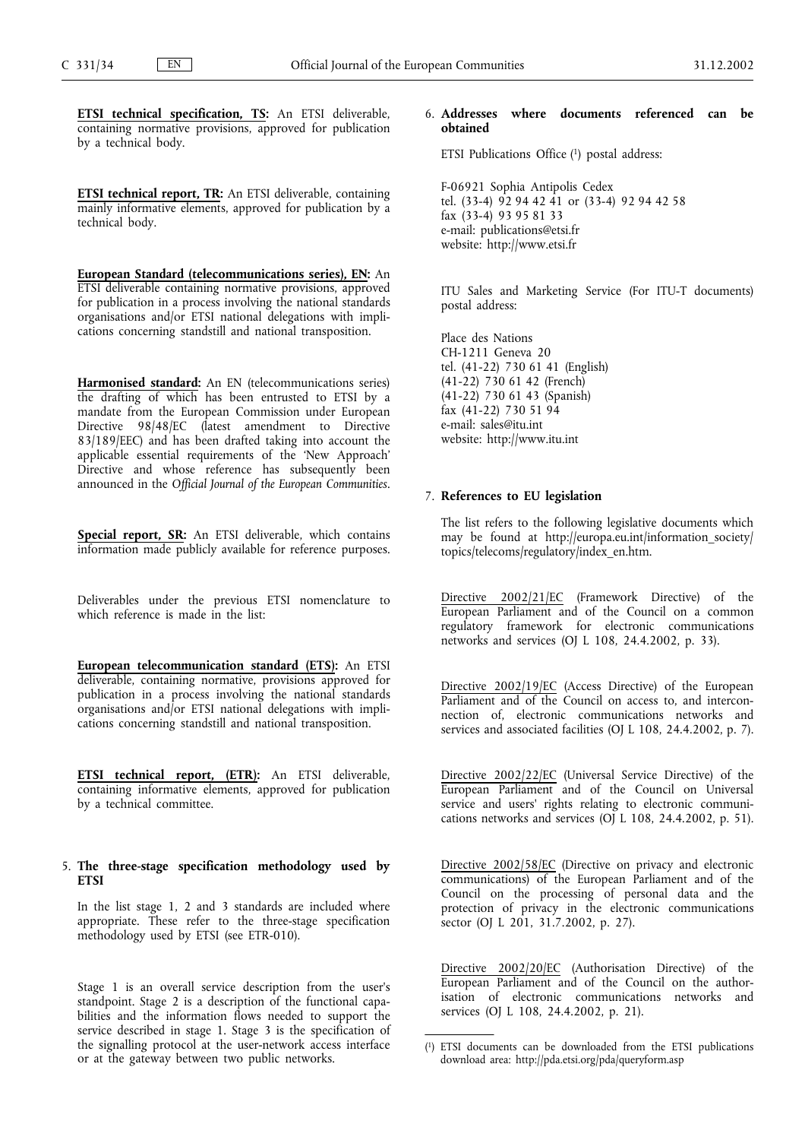**ETSI technical specification, TS:** An ETSI deliverable, containing normative provisions, approved for publication by a technical body.

**ETSI technical report, TR:** An ETSI deliverable, containing mainly informative elements, approved for publication by a technical body.

**European Standard (telecommunications series), EN:** An ETSI deliverable containing normative provisions, approved for publication in a process involving the national standards organisations and/or ETSI national delegations with implications concerning standstill and national transposition.

**Harmonised standard:** An EN (telecommunications series) the drafting of which has been entrusted to ETSI by a mandate from the European Commission under European Directive 98/48/EC (latest amendment to Directive 83/189/EEC) and has been drafted taking into account the applicable essential requirements of the 'New Approach' Directive and whose reference has subsequently been announced in the *Official Journal of the European Communities*.

**Special report, SR:** An ETSI deliverable, which contains information made publicly available for reference purposes.

Deliverables under the previous ETSI nomenclature to which reference is made in the list:

**European telecommunication standard (ETS):** An ETSI deliverable, containing normative, provisions approved for publication in a process involving the national standards organisations and/or ETSI national delegations with implications concerning standstill and national transposition.

**ETSI technical report, (ETR):** An ETSI deliverable, containing informative elements, approved for publication by a technical committee.

#### 5. **The three-stage specification methodology used by ETSI**

In the list stage 1, 2 and 3 standards are included where appropriate. These refer to the three-stage specification methodology used by ETSI (see ETR-010).

Stage 1 is an overall service description from the user's standpoint. Stage 2 is a description of the functional capabilities and the information flows needed to support the service described in stage 1. Stage 3 is the specification of the signalling protocol at the user-network access interface or at the gateway between two public networks.

## 6. **Addresses where documents referenced can be obtained**

ETSI Publications Office (1) postal address:

F-06921 Sophia Antipolis Cedex tel. (33-4) 92 94 42 41 or (33-4) 92 94 42 58 fax (33-4) 93 95 81 33 e-mail: publications@etsi.fr website: http://www.etsi.fr

ITU Sales and Marketing Service (For ITU-T documents) postal address:

Place des Nations CH-1211 Geneva 20 tel. (41-22) 730 61 41 (English) (41-22) 730 61 42 (French) (41-22) 730 61 43 (Spanish) fax (41-22) 730 51 94 e-mail: sales@itu.int website: http://www.itu.int

#### 7. **References to EU legislation**

The list refers to the following legislative documents which may be found at http://europa.eu.int/information\_society/ topics/telecoms/regulatory/index\_en.htm.

Directive 2002/21/EC (Framework Directive) of the European Parliament and of the Council on a common regulatory framework for electronic communications networks and services (OJ L 108, 24.4.2002, p. 33).

Directive 2002/19/EC (Access Directive) of the European Parliament and of the Council on access to, and interconnection of, electronic communications networks and services and associated facilities (OJ L 108, 24.4.2002, p. 7).

Directive 2002/22/EC (Universal Service Directive) of the European Parliament and of the Council on Universal service and users' rights relating to electronic communications networks and services (OJ L 108, 24.4.2002, p. 51).

Directive 2002/58/EC (Directive on privacy and electronic communications) of the European Parliament and of the Council on the processing of personal data and the protection of privacy in the electronic communications sector (OJ L 201, 31.7.2002, p. 27).

Directive 2002/20/EC (Authorisation Directive) of the European Parliament and of the Council on the authorisation of electronic communications networks and services (OJ L 108, 24.4.2002, p. 21).

<sup>(</sup> 1) ETSI documents can be downloaded from the ETSI publications download area: http://pda.etsi.org/pda/queryform.asp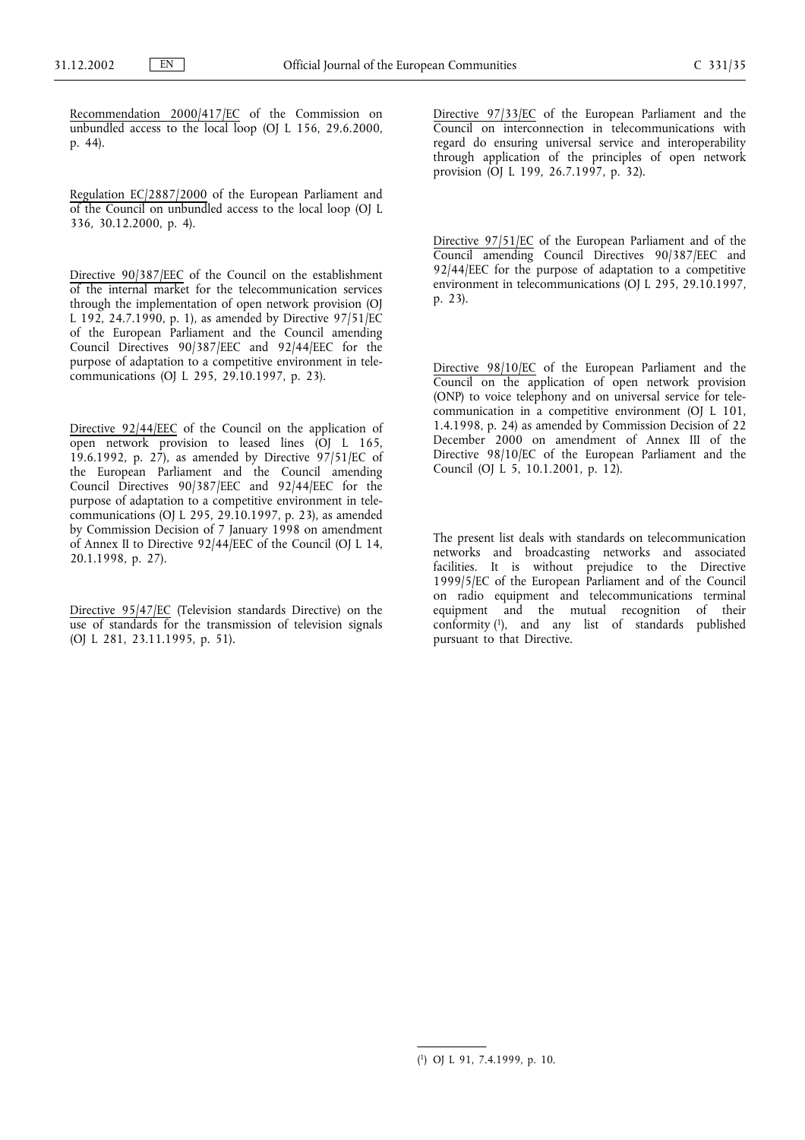Recommendation 2000/417/EC of the Commission on unbundled access to the local loop (OJ L 156, 29.6.2000, p. 44).

Regulation EC/2887/2000 of the European Parliament and of the Council on unbundled access to the local loop (OJ L 336, 30.12.2000, p. 4).

Directive 90/387/EEC of the Council on the establishment of the internal market for the telecommunication services through the implementation of open network provision (OJ L 192, 24.7.1990, p. 1), as amended by Directive 97/51/EC of the European Parliament and the Council amending Council Directives 90/387/EEC and 92/44/EEC for the purpose of adaptation to a competitive environment in telecommunications (OJ L 295, 29.10.1997, p. 23).

Directive 92/44/EEC of the Council on the application of open network provision to leased lines (OJ L 165, 19.6.1992, p. 27), as amended by Directive  $97/51/EC$  of the European Parliament and the Council amending Council Directives 90/387/EEC and 92/44/EEC for the purpose of adaptation to a competitive environment in telecommunications (OJ L 295, 29.10.1997, p. 23), as amended by Commission Decision of 7 January 1998 on amendment of Annex II to Directive 92/44/EEC of the Council (OJ L 14, 20.1.1998, p. 27).

Directive 95/47/EC (Television standards Directive) on the use of standards for the transmission of television signals (OJ L 281, 23.11.1995, p. 51).

Directive 97/33/EC of the European Parliament and the Council on interconnection in telecommunications with regard do ensuring universal service and interoperability through application of the principles of open network provision (OJ L 199, 26.7.1997, p. 32).

Directive 97/51/EC of the European Parliament and of the Council amending Council Directives 90/387/EEC and 92/44/EEC for the purpose of adaptation to a competitive environment in telecommunications (OJ L 295, 29.10.1997, p. 23).

Directive 98/10/EC of the European Parliament and the Council on the application of open network provision (ONP) to voice telephony and on universal service for telecommunication in a competitive environment (OJ L 101, 1.4.1998, p. 24) as amended by Commission Decision of 22 December 2000 on amendment of Annex III of the Directive 98/10/EC of the European Parliament and the Council (OJ L 5, 10.1.2001, p. 12).

The present list deals with standards on telecommunication networks and broadcasting networks and associated facilities. It is without prejudice to the Directive 1999/5/EC of the European Parliament and of the Council on radio equipment and telecommunications terminal equipment and the mutual recognition of their conformity (1), and any list of standards published pursuant to that Directive.

<sup>(</sup> 1) OJ L 91, 7.4.1999, p. 10.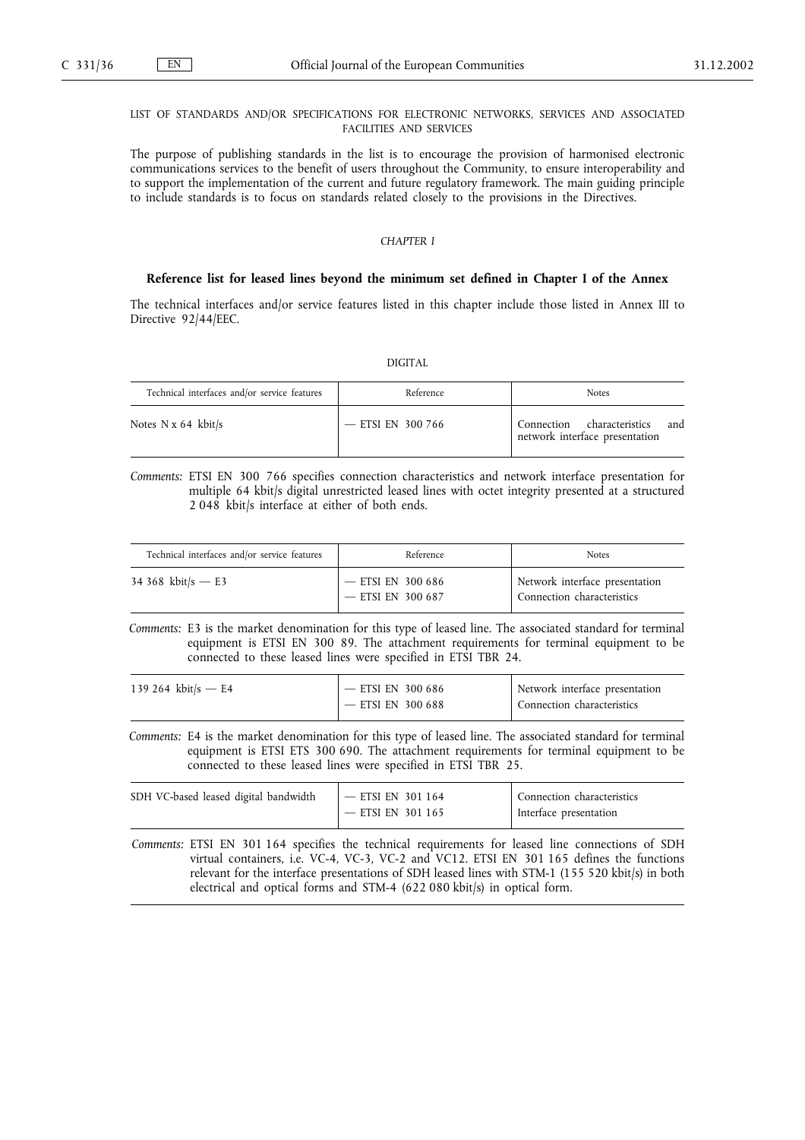## LIST OF STANDARDS AND/OR SPECIFICATIONS FOR ELECTRONIC NETWORKS, SERVICES AND ASSOCIATED FACILITIES AND SERVICES

The purpose of publishing standards in the list is to encourage the provision of harmonised electronic communications services to the benefit of users throughout the Community, to ensure interoperability and to support the implementation of the current and future regulatory framework. The main guiding principle to include standards is to focus on standards related closely to the provisions in the Directives.

## *CHAPTER I*

#### **Reference list for leased lines beyond the minimum set defined in Chapter I of the Annex**

The technical interfaces and/or service features listed in this chapter include those listed in Annex III to Directive 92/44/EEC.

### DIGITAL

| Technical interfaces and/or service features | Reference           | <b>Notes</b>                                                        |
|----------------------------------------------|---------------------|---------------------------------------------------------------------|
| Notes $N \times 64$ kbit/s                   | $-$ ETSI EN 300 766 | and<br>Connection characteristics<br>network interface presentation |

*Comments:* ETSI EN 300 766 specifies connection characteristics and network interface presentation for multiple 64 kbit/s digital unrestricted leased lines with octet integrity presented at a structured 2 048 kbit/s interface at either of both ends.

| Technical interfaces and/or service features | Reference                                  | <b>Notes</b>                                                 |
|----------------------------------------------|--------------------------------------------|--------------------------------------------------------------|
| 34 368 kbit/s $- E$ 3                        | $-$ ETSI EN 300 686<br>$-$ ETSI EN 300 687 | Network interface presentation<br>Connection characteristics |

*Comments:* E3 is the market denomination for this type of leased line. The associated standard for terminal equipment is ETSI EN 300 89. The attachment requirements for terminal equipment to be connected to these leased lines were specified in ETSI TBR 24.

| 139 264 kbit/s — E4 | $-$ ETSI EN 300 686 | Network interface presentation |
|---------------------|---------------------|--------------------------------|
|                     | — ETSI EN 300 688   | Connection characteristics     |

*Comments:* E4 is the market denomination for this type of leased line. The associated standard for terminal equipment is ETSI ETS 300 690. The attachment requirements for terminal equipment to be connected to these leased lines were specified in ETSI TBR 25.

| SDH VC-based leased digital bandwidth | $I$ — ETSI EN 301 164 | Connection characteristics |
|---------------------------------------|-----------------------|----------------------------|
|                                       | $-$ ETSI EN 301 165   | I Interface presentation   |

*Comments:* ETSI EN 301 164 specifies the technical requirements for leased line connections of SDH virtual containers, i.e. VC-4, VC-3, VC-2 and VC12. ETSI EN 301 165 defines the functions relevant for the interface presentations of SDH leased lines with STM-1 (155 520 kbit/s) in both electrical and optical forms and STM-4 (622 080 kbit/s) in optical form.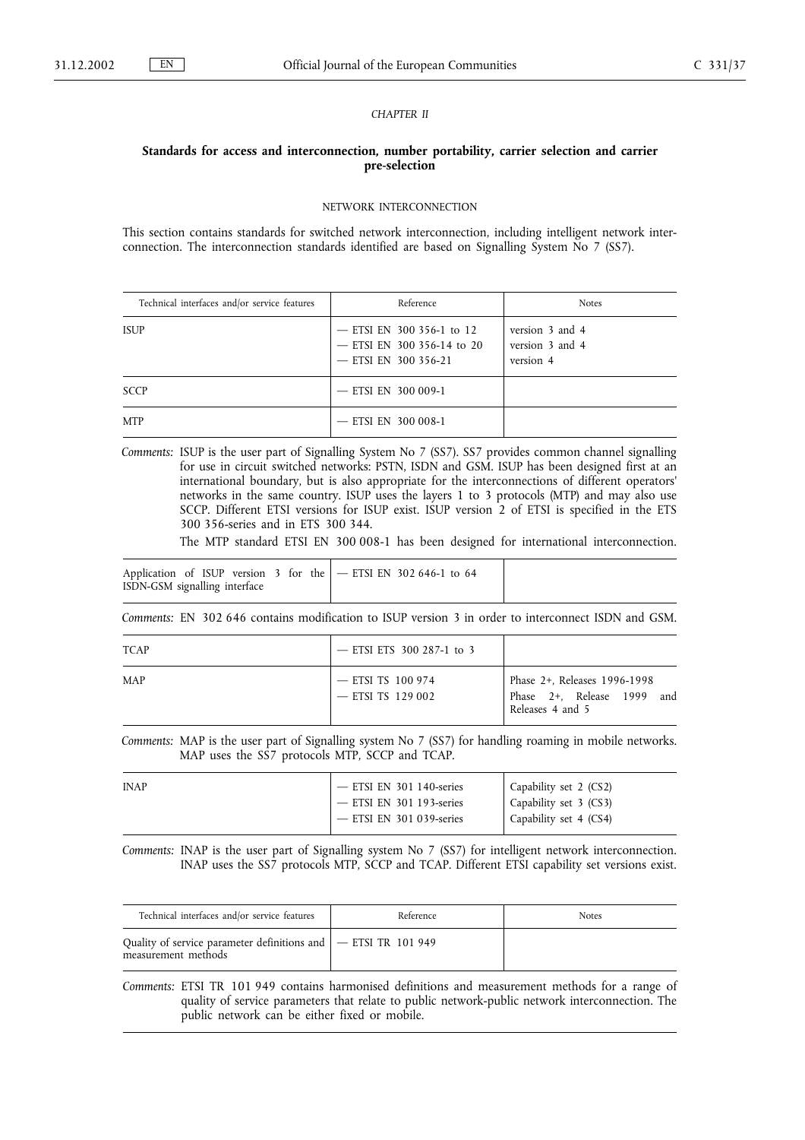## *CHAPTER II*

## **Standards for access and interconnection, number portability, carrier selection and carrier pre-selection**

#### NETWORK INTERCONNECTION

This section contains standards for switched network interconnection, including intelligent network interconnection. The interconnection standards identified are based on Signalling System No 7 (SS7).

| Technical interfaces and/or service features | Reference                                                                       | <b>Notes</b>                                    |
|----------------------------------------------|---------------------------------------------------------------------------------|-------------------------------------------------|
| <b>ISUP</b>                                  | - ETSI EN 300 356-1 to 12<br>- ETSI EN 300 356-14 to 20<br>- ETSI EN 300 356-21 | version 3 and 4<br>version 3 and 4<br>version 4 |
| <b>SCCP</b>                                  | $-$ ETSI EN 300 009-1                                                           |                                                 |
| <b>MTP</b>                                   | $-$ ETSI EN 300 008-1                                                           |                                                 |

*Comments:* ISUP is the user part of Signalling System No 7 (SS7). SS7 provides common channel signalling for use in circuit switched networks: PSTN, ISDN and GSM. ISUP has been designed first at an international boundary, but is also appropriate for the interconnections of different operators' networks in the same country. ISUP uses the layers 1 to 3 protocols (MTP) and may also use SCCP. Different ETSI versions for ISUP exist. ISUP version 2 of ETSI is specified in the ETS 300 356-series and in ETS 300 344.

The MTP standard ETSI EN 300 008-1 has been designed for international interconnection.

Application of ISUP version 3 for the ISDN-GSM signalling interface — ETSI EN 302 646-1 to 64

*Comments:* EN 302 646 contains modification to ISUP version 3 in order to interconnect ISDN and GSM.

| <b>TCAP</b> | - ETSI ETS 300 287-1 to 3                  |                                                                                |
|-------------|--------------------------------------------|--------------------------------------------------------------------------------|
| <b>MAP</b>  | $-$ ETSI TS 100 974<br>$-$ ETSI TS 129 002 | Phase 2+, Releases 1996-1998<br>Phase 2+, Release 1999 and<br>Releases 4 and 5 |

*Comments:* MAP is the user part of Signalling system No 7 (SS7) for handling roaming in mobile networks. MAP uses the SS7 protocols MTP, SCCP and TCAP.

| <b>INAP</b> | $-$ ETSI EN 301 140-series | Capability set 2 (CS2)   |
|-------------|----------------------------|--------------------------|
|             | $-$ ETSI EN 301 193-series | Capability set 3 (CS3)   |
|             | $-$ ETSI EN 301 039-series | Capability set $4$ (CS4) |
|             |                            |                          |

*Comments:* INAP is the user part of Signalling system No 7 (SS7) for intelligent network interconnection. INAP uses the SS7 protocols MTP, SCCP and TCAP. Different ETSI capability set versions exist.

| Technical interfaces and/or service features                                            | Reference | <b>Notes</b> |
|-----------------------------------------------------------------------------------------|-----------|--------------|
| Quality of service parameter definitions and   - ETSI TR 101 949<br>measurement methods |           |              |

*Comments:* ETSI TR 101 949 contains harmonised definitions and measurement methods for a range of quality of service parameters that relate to public network-public network interconnection. The public network can be either fixed or mobile.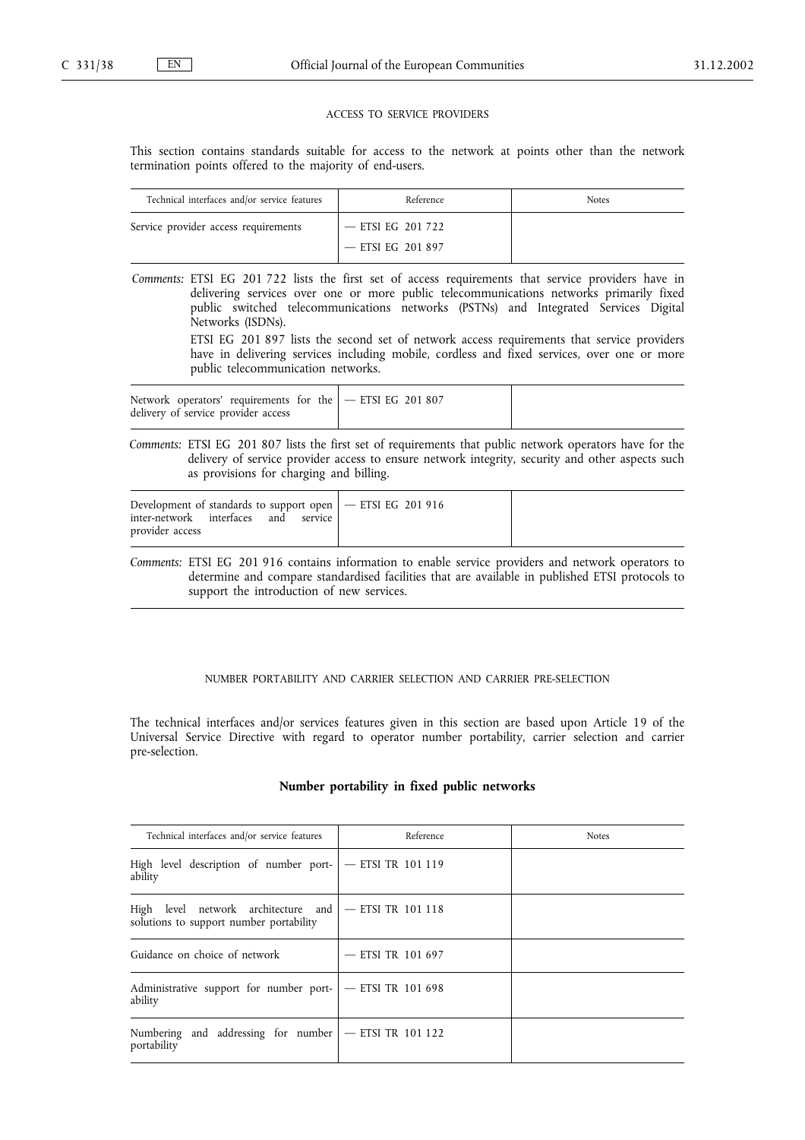#### ACCESS TO SERVICE PROVIDERS

This section contains standards suitable for access to the network at points other than the network termination points offered to the majority of end-users.

| Technical interfaces and/or service features | Reference           | <b>Notes</b> |
|----------------------------------------------|---------------------|--------------|
| Service provider access requirements         | — ETSI EG 201 722   |              |
|                                              | $-$ ETSI EG 201 897 |              |

*Comments:* ETSI EG 201 722 lists the first set of access requirements that service providers have in delivering services over one or more public telecommunications networks primarily fixed public switched telecommunications networks (PSTNs) and Integrated Services Digital Networks (ISDNs).

> ETSI EG 201 897 lists the second set of network access requirements that service providers have in delivering services including mobile, cordless and fixed services, over one or more public telecommunication networks.

|--|

*Comments:* ETSI EG 201 807 lists the first set of requirements that public network operators have for the delivery of service provider access to ensure network integrity, security and other aspects such as provisions for charging and billing.

| Development of standards to support open $ -$ ETSI EG 201 916<br>inter-network interfaces<br>and<br>service<br>provider access |  |  |
|--------------------------------------------------------------------------------------------------------------------------------|--|--|
|--------------------------------------------------------------------------------------------------------------------------------|--|--|

*Comments:* ETSI EG 201 916 contains information to enable service providers and network operators to determine and compare standardised facilities that are available in published ETSI protocols to support the introduction of new services.

## NUMBER PORTABILITY AND CARRIER SELECTION AND CARRIER PRE-SELECTION

The technical interfaces and/or services features given in this section are based upon Article 19 of the Universal Service Directive with regard to operator number portability, carrier selection and carrier pre-selection.

#### **Number portability in fixed public networks**

| Technical interfaces and/or service features                                                       | Reference           | <b>Notes</b> |
|----------------------------------------------------------------------------------------------------|---------------------|--------------|
| High level description of number port- $ -$ ETSI TR 101 119<br>ability                             |                     |              |
| High level network architecture and $-$ ETSI TR 101 118<br>solutions to support number portability |                     |              |
| Guidance on choice of network                                                                      | $-$ ETSI TR 101 697 |              |
| Administrative support for number port- $ -$ ETSI TR 101 698<br>ability                            |                     |              |
| Numbering and addressing for number $ -$ ETSI TR 101 122<br>portability                            |                     |              |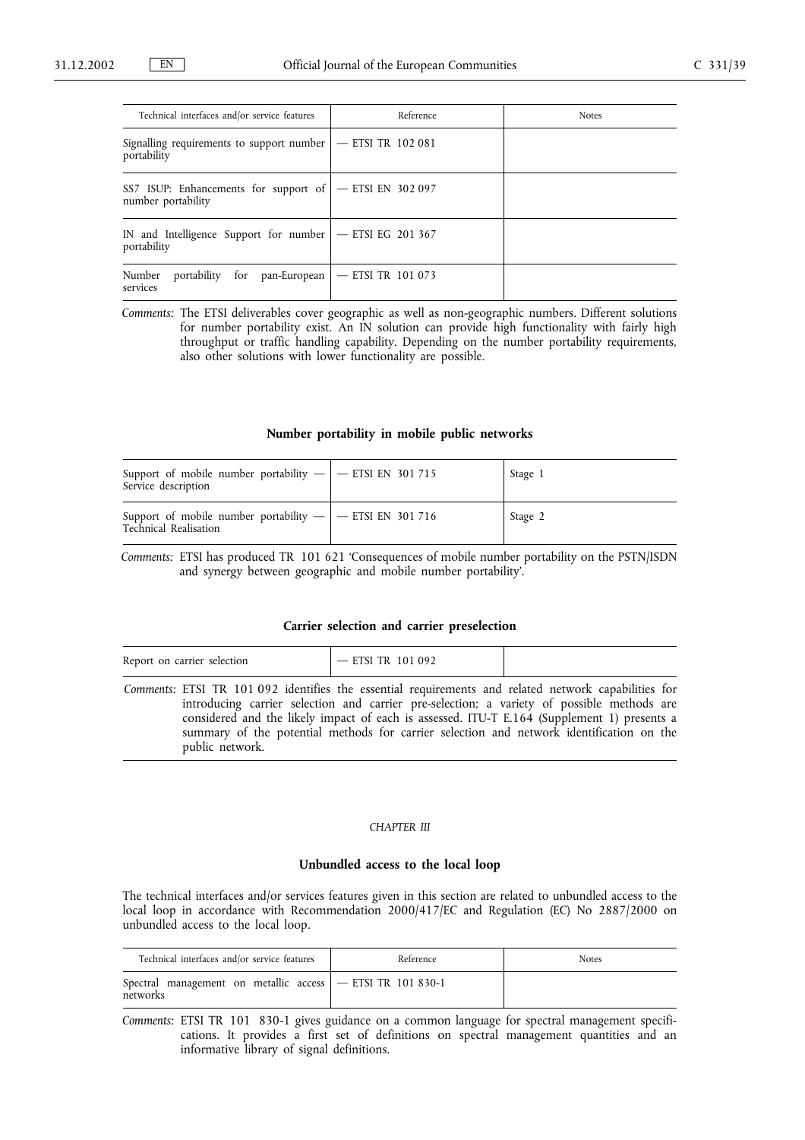| Technical interfaces and/or service features                                    | Reference | <b>Notes</b> |
|---------------------------------------------------------------------------------|-----------|--------------|
| Signalling requirements to support number $ -$ ETSI TR 102 081<br>portability   |           |              |
| SS7 ISUP: Enhancements for support of   - ETSI EN 302 097<br>number portability |           |              |
| IN and Intelligence Support for number   - ETSI EG 201 367<br>portability       |           |              |
| Number<br>portability for pan-European $ -$ ETSI TR 101 073<br>services         |           |              |

*Comments:* The ETSI deliverables cover geographic as well as non-geographic numbers. Different solutions for number portability exist. An IN solution can provide high functionality with fairly high throughput or traffic handling capability. Depending on the number portability requirements, also other solutions with lower functionality are possible.

## **Number portability in mobile public networks**

| Support of mobile number portability $-$   $-$ ETSI EN 301 715<br>Service description | Stage 1 |
|---------------------------------------------------------------------------------------|---------|
| Support of mobile number portability $ -$ ETSI EN 301 716<br>Technical Realisation    | Stage 2 |

*Comments:* ETSI has produced TR 101 621 'Consequences of mobile number portability on the PSTN/ISDN and synergy between geographic and mobile number portability'.

#### **Carrier selection and carrier preselection**

| Report on carrier selection                                                                          | $-$ ETSI TR 101 092 |  |
|------------------------------------------------------------------------------------------------------|---------------------|--|
| Comments: ETSI TR 101.092 identifies the essential requirements and related network canabilities for |                     |  |

*Comments:* ETSI TR 101 092 identifies the essential requirements and related network capabilities for introducing carrier selection and carrier pre-selection; a variety of possible methods are considered and the likely impact of each is assessed. ITU-T E.164 (Supplement 1) presents a summary of the potential methods for carrier selection and network identification on the public network.

#### *CHAPTER III*

## **Unbundled access to the local loop**

The technical interfaces and/or services features given in this section are related to unbundled access to the local loop in accordance with Recommendation 2000/417/EC and Regulation (EC) No 2887/2000 on unbundled access to the local loop.

| Technical interfaces and/or service features                             | Reference | <b>Notes</b> |
|--------------------------------------------------------------------------|-----------|--------------|
| Spectral management on metallic access   - ETSI TR 101 830-1<br>networks |           |              |

*Comments:* ETSI TR 101 830-1 gives guidance on a common language for spectral management specifications. It provides a first set of definitions on spectral management quantities and an informative library of signal definitions.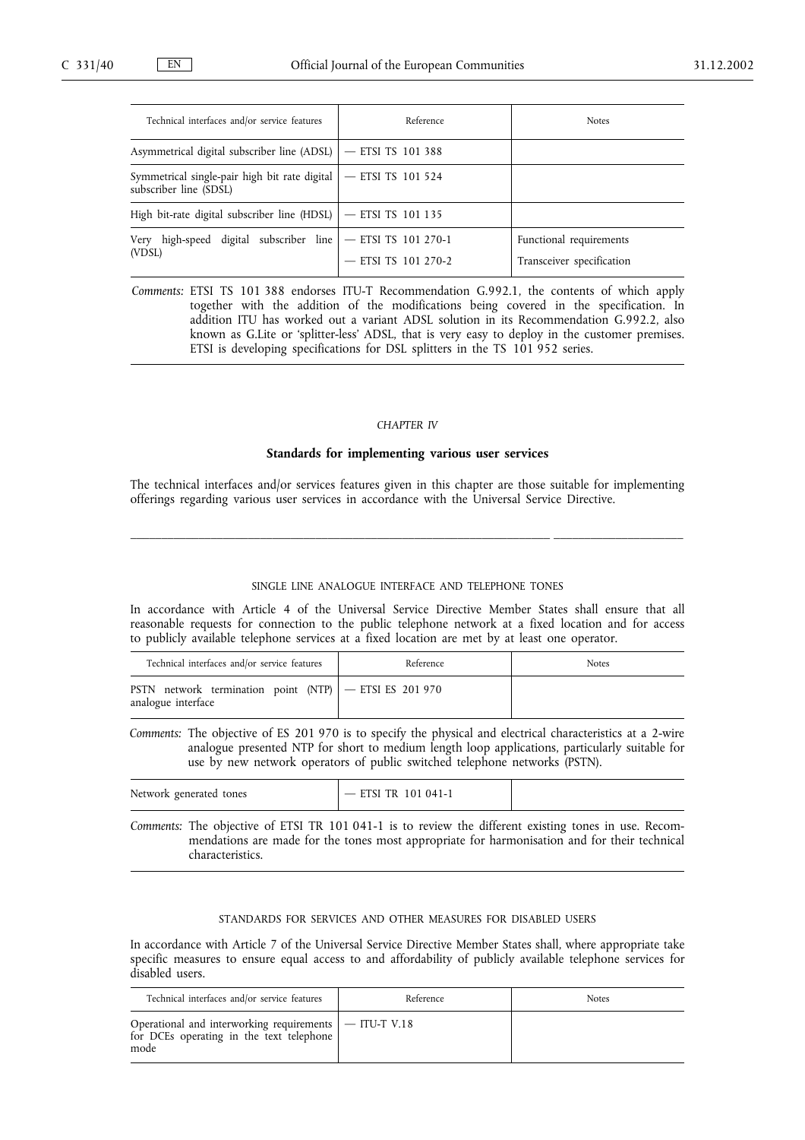| Technical interfaces and/or service features                                | Reference           | <b>Notes</b>                                         |
|-----------------------------------------------------------------------------|---------------------|------------------------------------------------------|
| Asymmetrical digital subscriber line (ADSL) $\vert$ - ETSI TS 101 388       |                     |                                                      |
| Symmetrical single-pair high bit rate digital<br>subscriber line (SDSL)     | - ETSI TS 101 524   |                                                      |
| High bit-rate digital subscriber line (HDSL)   - ETSI TS 101 135            |                     |                                                      |
| high-speed digital subscriber line $ -$ ETSI TS 101 270-1<br>Very<br>(VDSL) | - ETSI TS 101 270-2 | Functional requirements<br>Transceiver specification |

*Comments:* ETSI TS 101 388 endorses ITU-T Recommendation G.992.1, the contents of which apply together with the addition of the modifications being covered in the specification. In addition ITU has worked out a variant ADSL solution in its Recommendation G.992.2, also known as G.Lite or 'splitter-less' ADSL, that is very easy to deploy in the customer premises. ETSI is developing specifications for DSL splitters in the TS 101 952 series.

#### *CHAPTER IV*

#### **Standards for implementing various user services**

The technical interfaces and/or services features given in this chapter are those suitable for implementing offerings regarding various user services in accordance with the Universal Service Directive.

\_\_\_\_\_\_\_\_\_\_\_\_\_\_\_\_\_\_\_\_\_\_\_\_\_\_\_\_\_\_\_\_\_\_\_\_\_\_\_\_\_\_\_\_\_\_\_\_\_\_\_\_\_\_\_\_\_\_\_\_\_\_\_\_\_\_\_\_ \_\_\_\_\_\_\_\_\_\_\_\_\_\_\_\_\_\_\_\_\_

## SINGLE LINE ANALOGUE INTERFACE AND TELEPHONE TONES

In accordance with Article 4 of the Universal Service Directive Member States shall ensure that all reasonable requests for connection to the public telephone network at a fixed location and for access to publicly available telephone services at a fixed location are met by at least one operator.

| Technical interfaces and/or service features                                    | Reference | <b>Notes</b> |
|---------------------------------------------------------------------------------|-----------|--------------|
| PSTN network termination point (NTP) $ -$ ETSI ES 201 970<br>analogue interface |           |              |

*Comments:* The objective of ES 201 970 is to specify the physical and electrical characteristics at a 2-wire analogue presented NTP for short to medium length loop applications, particularly suitable for use by new network operators of public switched telephone networks (PSTN).

| Network generated tones                                                                              | - ETSI TR $101041-1$ |  |
|------------------------------------------------------------------------------------------------------|----------------------|--|
| Commentar The objective of ETCL TD 101.041.1 is to person the different existing tones in use Becom- |                      |  |

*Comments:* The objective of ETSI TR 101 041-1 is to review the different existing tones in use. Recommendations are made for the tones most appropriate for harmonisation and for their technical characteristics.

### STANDARDS FOR SERVICES AND OTHER MEASURES FOR DISABLED USERS

In accordance with Article 7 of the Universal Service Directive Member States shall, where appropriate take specific measures to ensure equal access to and affordability of publicly available telephone services for disabled users.

| Technical interfaces and/or service features                                                                  | Reference | <b>Notes</b> |
|---------------------------------------------------------------------------------------------------------------|-----------|--------------|
| Operational and interworking requirements $ -$ ITU-T V.18<br>for DCEs operating in the text telephone<br>mode |           |              |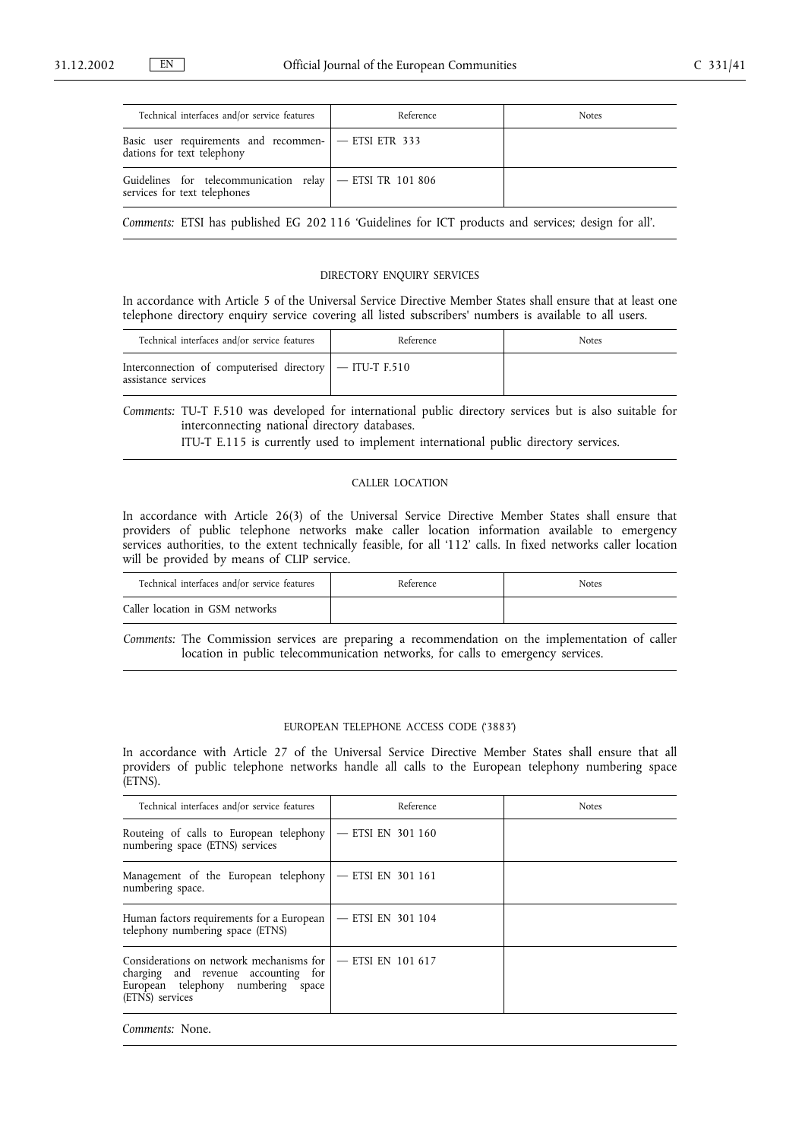| Technical interfaces and/or service features                                               | Reference | <b>Notes</b> |
|--------------------------------------------------------------------------------------------|-----------|--------------|
| Basic user requirements and recommen-   - ETSI ETR 333<br>dations for text telephony       |           |              |
| Guidelines for telecommunication relay   - ETSI TR 101 806<br>services for text telephones |           |              |

*Comments:* ETSI has published EG 202 116 'Guidelines for ICT products and services; design for all'.

## DIRECTORY ENQUIRY SERVICES

In accordance with Article 5 of the Universal Service Directive Member States shall ensure that at least one telephone directory enquiry service covering all listed subscribers' numbers is available to all users.

| Technical interfaces and/or service features                                      | Reference | <b>Notes</b> |
|-----------------------------------------------------------------------------------|-----------|--------------|
| Interconnection of computerised directory $ -$ ITU-T F.510<br>assistance services |           |              |

*Comments:* TU-T F.510 was developed for international public directory services but is also suitable for interconnecting national directory databases.

ITU-T E.115 is currently used to implement international public directory services.

## CALLER LOCATION

In accordance with Article 26(3) of the Universal Service Directive Member States shall ensure that providers of public telephone networks make caller location information available to emergency services authorities, to the extent technically feasible, for all '112' calls. In fixed networks caller location will be provided by means of CLIP service.

| Technical interfaces and/or service features | Reference | <b>Notes</b> |
|----------------------------------------------|-----------|--------------|
| Caller location in GSM networks              |           |              |

*Comments:* The Commission services are preparing a recommendation on the implementation of caller location in public telecommunication networks, for calls to emergency services.

## EUROPEAN TELEPHONE ACCESS CODE ('3883')

In accordance with Article 27 of the Universal Service Directive Member States shall ensure that all providers of public telephone networks handle all calls to the European telephony numbering space (ETNS).

| Technical interfaces and/or service features                                                                                                                       | Reference           | <b>Notes</b> |
|--------------------------------------------------------------------------------------------------------------------------------------------------------------------|---------------------|--------------|
| Routeing of calls to European telephony $ -$ ETSI EN 301 160<br>numbering space (ETNS) services                                                                    |                     |              |
| Management of the European telephony $ -$ ETSI EN 301 161<br>numbering space.                                                                                      |                     |              |
| Human factors requirements for a European<br>telephony numbering space (ETNS)                                                                                      | $-$ ETSI EN 301 104 |              |
| Considerations on network mechanisms for $\vert$ - ETSI EN 101 617<br>charging and revenue accounting for<br>European telephony numbering space<br>(ETNS) services |                     |              |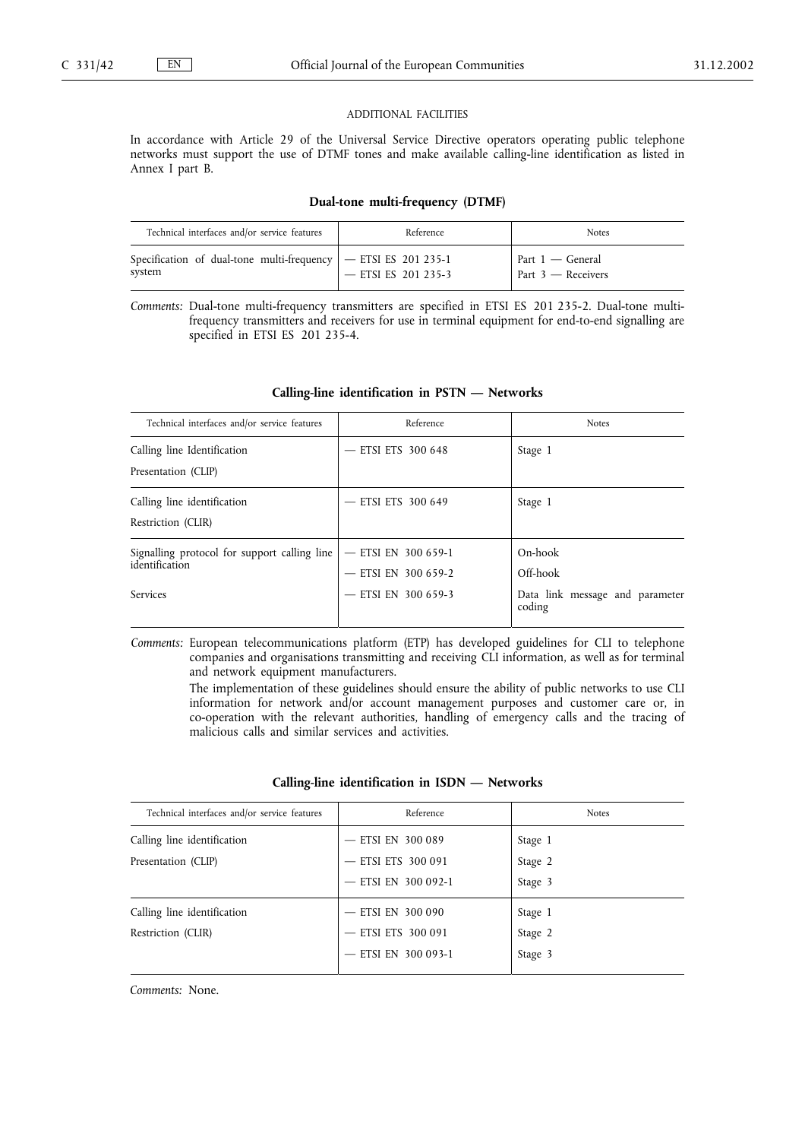#### ADDITIONAL FACILITIES

In accordance with Article 29 of the Universal Service Directive operators operating public telephone networks must support the use of DTMF tones and make available calling-line identification as listed in Annex I part B.

#### **Dual-tone multi-frequency (DTMF)**

| Technical interfaces and/or service features                                | Reference           | <b>Notes</b>                               |
|-----------------------------------------------------------------------------|---------------------|--------------------------------------------|
| Specification of dual-tone multi-frequency $ -$ ETSI ES 201 235-1<br>system | - ETSI ES 201 235-3 | Part $1 -$ General<br>Part $3$ — Receivers |

*Comments:* Dual-tone multi-frequency transmitters are specified in ETSI ES 201 235-2. Dual-tone multifrequency transmitters and receivers for use in terminal equipment for end-to-end signalling are specified in ETSI ES 201 235-4.

| Technical interfaces and/or service features                                      | Reference                                                         | <b>Notes</b>                                                     |
|-----------------------------------------------------------------------------------|-------------------------------------------------------------------|------------------------------------------------------------------|
| Calling line Identification<br>Presentation (CLIP)                                | <b>ETSI ETS 300 648</b>                                           | Stage 1                                                          |
| Calling line identification<br>Restriction (CLIR)                                 | ETSI ETS 300 649                                                  | Stage 1                                                          |
| Signalling protocol for support calling line<br>identification<br><b>Services</b> | - ETSI EN 300 659-1<br>$-$ ETSI EN 300 659-2<br>ETSI EN 300 659-3 | On-hook<br>Off-hook<br>Data link message and parameter<br>coding |

## **Calling-line identification in PSTN — Networks**

*Comments:* European telecommunications platform (ETP) has developed guidelines for CLI to telephone companies and organisations transmitting and receiving CLI information, as well as for terminal and network equipment manufacturers.

> The implementation of these guidelines should ensure the ability of public networks to use CLI information for network and/or account management purposes and customer care or, in co-operation with the relevant authorities, handling of emergency calls and the tracing of malicious calls and similar services and activities.

### **Calling-line identification in ISDN — Networks**

| Technical interfaces and/or service features | Reference               | <b>Notes</b> |
|----------------------------------------------|-------------------------|--------------|
| Calling line identification                  | - ETSI EN 300 089       | Stage 1      |
| Presentation (CLIP)                          | <b>ETSI ETS 300 091</b> | Stage 2      |
|                                              | - ETSI EN 300 092-1     | Stage 3      |
| Calling line identification                  | - ETSI EN 300 090       | Stage 1      |
| Restriction (CLIR)                           | - ETSI ETS 300 091      | Stage 2      |
|                                              | $-$ ETSI EN 300 093-1   | Stage 3      |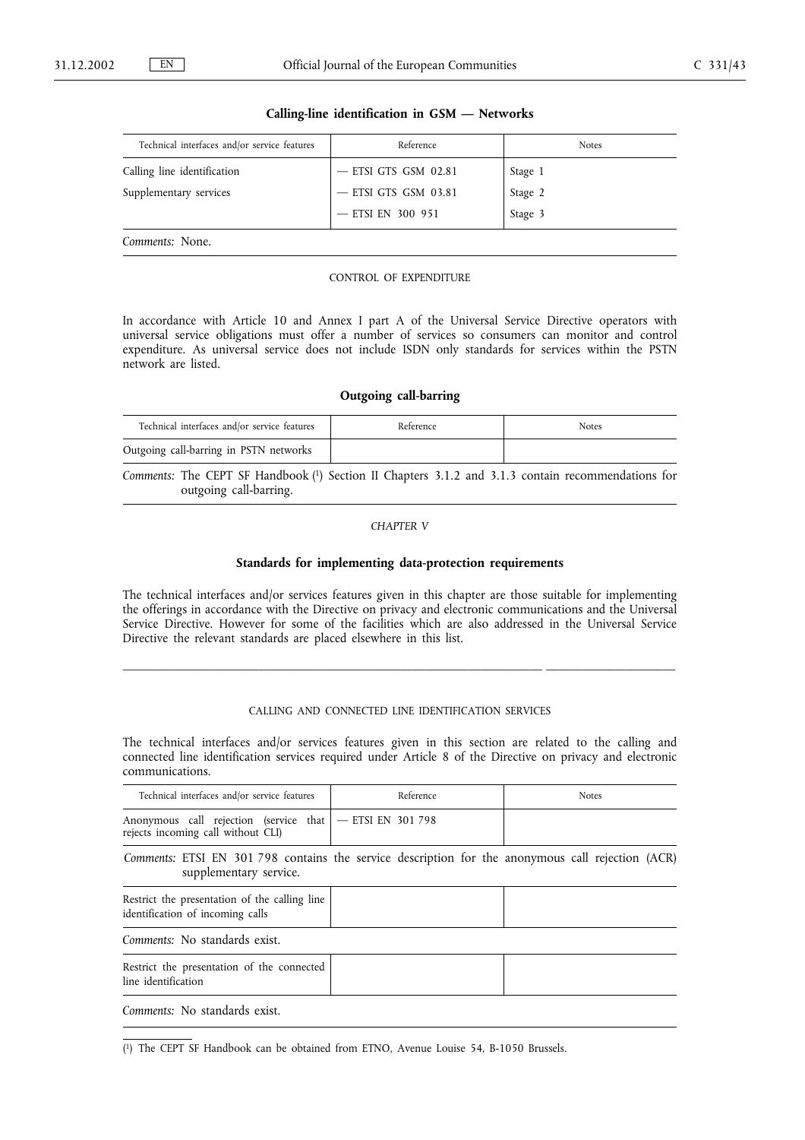| Technical interfaces and/or service features | Reference              | <b>Notes</b> |
|----------------------------------------------|------------------------|--------------|
| Calling line identification                  | $-$ ETSI GTS GSM 02.81 | Stage 1      |
| Supplementary services                       | $-$ ETSI GTS GSM 03.81 | Stage 2      |
|                                              | $-$ ETSI EN 300 951    | Stage 3      |
| Comments: None.                              |                        |              |

#### **Calling-line identification in GSM — Networks**

#### CONTROL OF EXPENDITURE

In accordance with Article 10 and Annex I part A of the Universal Service Directive operators with universal service obligations must offer a number of services so consumers can monitor and control expenditure. As universal service does not include ISDN only standards for services within the PSTN network are listed.

## **Outgoing call-barring**

| Technical interfaces and/or service features | Reference | <b>Notes</b> |
|----------------------------------------------|-----------|--------------|
| Outgoing call-barring in PSTN networks       |           |              |

*Comments:* The CEPT SF Handbook (1) Section II Chapters 3.1.2 and 3.1.3 contain recommendations for outgoing call-barring.

## *CHAPTER V*

# **Standards for implementing data-protection requirements**

The technical interfaces and/or services features given in this chapter are those suitable for implementing the offerings in accordance with the Directive on privacy and electronic communications and the Universal Service Directive. However for some of the facilities which are also addressed in the Universal Service Directive the relevant standards are placed elsewhere in this list.

## CALLING AND CONNECTED LINE IDENTIFICATION SERVICES

\_\_\_\_\_\_\_\_\_\_\_\_\_\_\_\_\_\_\_\_\_\_\_\_\_\_\_\_\_\_\_\_\_\_\_\_\_\_\_\_\_\_\_\_\_\_\_\_\_\_\_\_\_\_\_\_\_\_\_\_\_\_\_\_\_\_\_\_ \_\_\_\_\_\_\_\_\_\_\_\_\_\_\_\_\_\_\_\_\_

The technical interfaces and/or services features given in this section are related to the calling and connected line identification services required under Article 8 of the Directive on privacy and electronic communications.

| Technical interfaces and/or service features                                                                                | Reference | <b>Notes</b> |
|-----------------------------------------------------------------------------------------------------------------------------|-----------|--------------|
| Anonymous call rejection (service that $ -$ ETSI EN 301 798<br>rejects incoming call without CLI)                           |           |              |
| Comments: ETSI EN 301 798 contains the service description for the anonymous call rejection (ACR)<br>supplementary service. |           |              |
| Restrict the presentation of the calling line<br>identification of incoming calls                                           |           |              |
| Comments: No standards exist.                                                                                               |           |              |
| Restrict the presentation of the connected<br>line identification                                                           |           |              |
| Comments: No standards exist.                                                                                               |           |              |

( 1) The CEPT SF Handbook can be obtained from ETNO, Avenue Louise 54, B-1050 Brussels.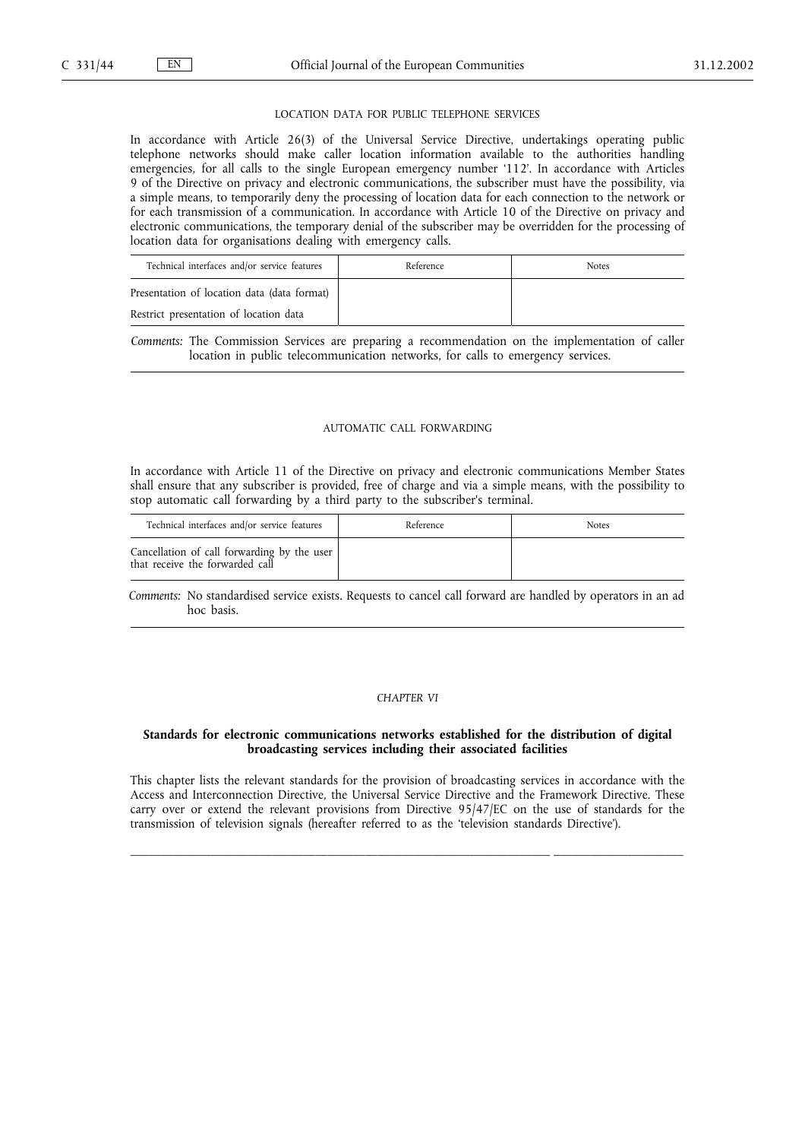#### LOCATION DATA FOR PUBLIC TELEPHONE SERVICES

In accordance with Article 26(3) of the Universal Service Directive, undertakings operating public telephone networks should make caller location information available to the authorities handling emergencies, for all calls to the single European emergency number '112'. In accordance with Articles 9 of the Directive on privacy and electronic communications, the subscriber must have the possibility, via a simple means, to temporarily deny the processing of location data for each connection to the network or for each transmission of a communication. In accordance with Article 10 of the Directive on privacy and electronic communications, the temporary denial of the subscriber may be overridden for the processing of location data for organisations dealing with emergency calls.

| Technical interfaces and/or service features | Reference | <b>Notes</b> |
|----------------------------------------------|-----------|--------------|
| Presentation of location data (data format)  |           |              |
| Restrict presentation of location data       |           |              |

*Comments:* The Commission Services are preparing a recommendation on the implementation of caller location in public telecommunication networks, for calls to emergency services.

### AUTOMATIC CALL FORWARDING

In accordance with Article 11 of the Directive on privacy and electronic communications Member States shall ensure that any subscriber is provided, free of charge and via a simple means, with the possibility to stop automatic call forwarding by a third party to the subscriber's terminal.

| Technical interfaces and/or service features                                   | Reference | <b>Notes</b> |
|--------------------------------------------------------------------------------|-----------|--------------|
| Cancellation of call forwarding by the user<br>that receive the forwarded call |           |              |

*Comments:* No standardised service exists. Requests to cancel call forward are handled by operators in an ad hoc basis.

#### *CHAPTER VI*

## **Standards for electronic communications networks established for the distribution of digital broadcasting services including their associated facilities**

This chapter lists the relevant standards for the provision of broadcasting services in accordance with the Access and Interconnection Directive, the Universal Service Directive and the Framework Directive. These carry over or extend the relevant provisions from Directive 95/47/EC on the use of standards for the transmission of television signals (hereafter referred to as the 'television standards Directive').

\_\_\_\_\_\_\_\_\_\_\_\_\_\_\_\_\_\_\_\_\_\_\_\_\_\_\_\_\_\_\_\_\_\_\_\_\_\_\_\_\_\_\_\_\_\_\_\_\_\_\_\_\_\_\_\_\_\_\_\_\_\_\_\_\_\_\_\_ \_\_\_\_\_\_\_\_\_\_\_\_\_\_\_\_\_\_\_\_\_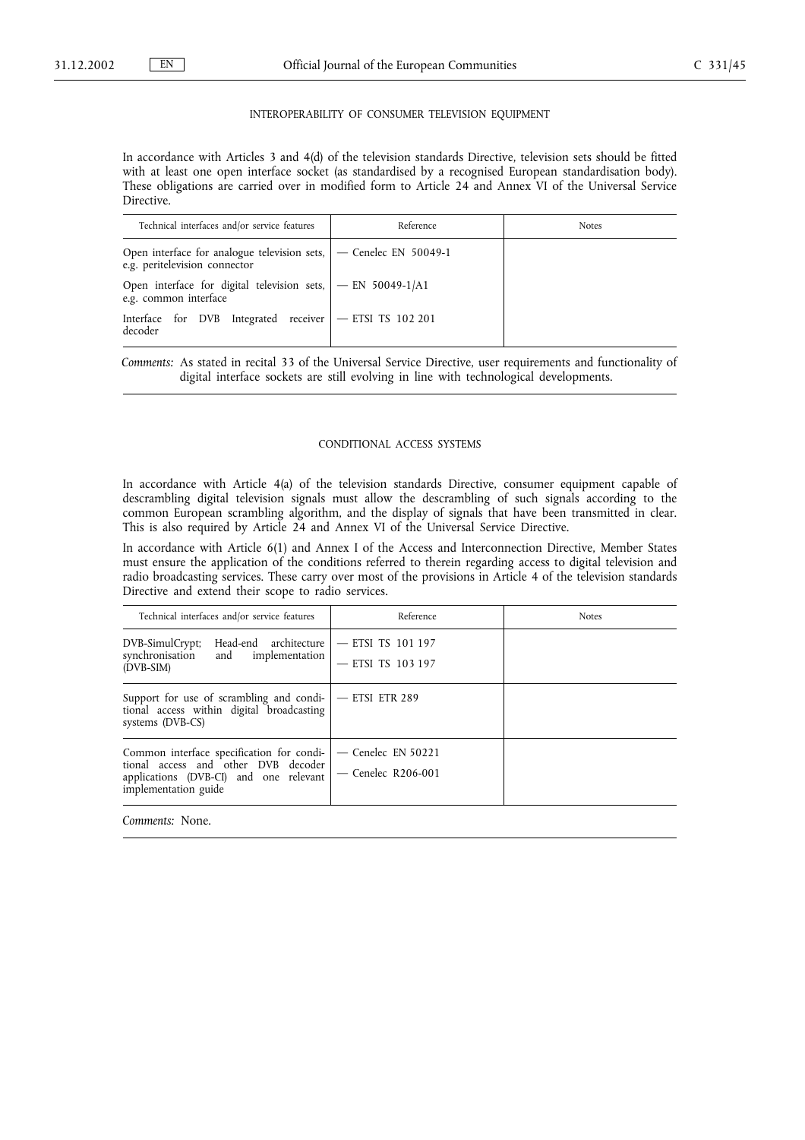#### INTEROPERABILITY OF CONSUMER TELEVISION EQUIPMENT

In accordance with Articles 3 and 4(d) of the television standards Directive, television sets should be fitted with at least one open interface socket (as standardised by a recognised European standardisation body). These obligations are carried over in modified form to Article 24 and Annex VI of the Universal Service Directive.

| Technical interfaces and/or service features                                                               | Reference | <b>Notes</b> |
|------------------------------------------------------------------------------------------------------------|-----------|--------------|
| Open interface for analogue television sets, $\vert$ - Cenelec EN 50049-1<br>e.g. peritelevision connector |           |              |
| Open interface for digital television sets, $ -EN 50049-1/A1$<br>e.g. common interface                     |           |              |
| Interface for DVB Integrated receiver   - ETSI TS 102 201<br>decoder                                       |           |              |

*Comments:* As stated in recital 33 of the Universal Service Directive, user requirements and functionality of digital interface sockets are still evolving in line with technological developments.

#### CONDITIONAL ACCESS SYSTEMS

In accordance with Article 4(a) of the television standards Directive, consumer equipment capable of descrambling digital television signals must allow the descrambling of such signals according to the common European scrambling algorithm, and the display of signals that have been transmitted in clear. This is also required by Article 24 and Annex VI of the Universal Service Directive.

In accordance with Article 6(1) and Annex I of the Access and Interconnection Directive, Member States must ensure the application of the conditions referred to therein regarding access to digital television and radio broadcasting services. These carry over most of the provisions in Article 4 of the television standards Directive and extend their scope to radio services.

| Technical interfaces and/or service features                                                                                                       | Reference                                    | <b>Notes</b> |
|----------------------------------------------------------------------------------------------------------------------------------------------------|----------------------------------------------|--------------|
| Head-end architecture – ETSI TS 101 197<br>DVB-SimulCrypt;<br>synchronisation and implementation<br>(DVB-SIM)                                      | - ETSI TS 103 197                            |              |
| Support for use of scrambling and condi- $ -$ ETSI ETR 289<br>tional access within digital broadcasting<br>systems (DVB-CS)                        |                                              |              |
| Common interface specification for condi-<br>tional access and other DVB decoder<br>applications (DVB-CI) and one relevant<br>implementation guide | $-$ Cenelec EN 50221<br>$-$ Cenelec R206-001 |              |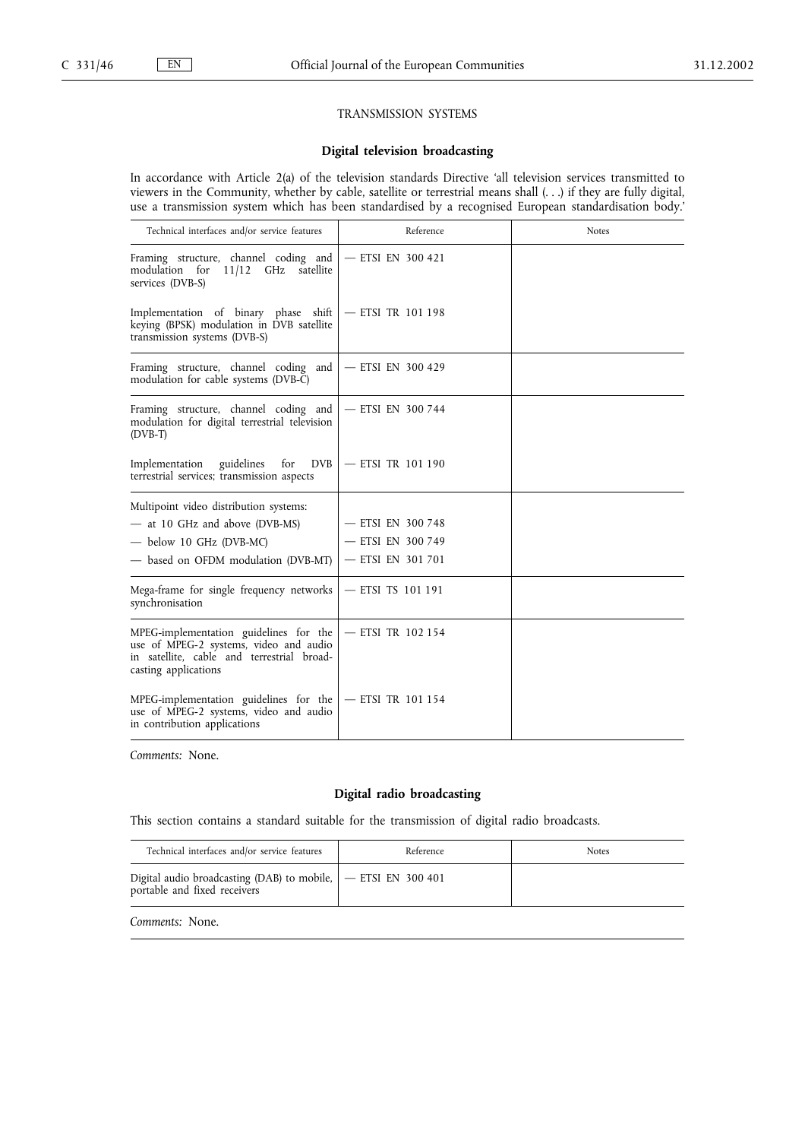## TRANSMISSION SYSTEMS

## **Digital television broadcasting**

In accordance with Article 2(a) of the television standards Directive 'all television services transmitted to viewers in the Community, whether by cable, satellite or terrestrial means shall (. . .) if they are fully digital, use a transmission system which has been standardised by a recognised European standardisation body.'

| Technical interfaces and/or service features                                                                                                           | Reference           | <b>Notes</b> |
|--------------------------------------------------------------------------------------------------------------------------------------------------------|---------------------|--------------|
| Framing structure, channel coding and<br>modulation for 11/12 GHz satellite<br>services (DVB-S)                                                        | $-$ ETSI EN 300 421 |              |
| Implementation of binary phase shift<br>keying (BPSK) modulation in DVB satellite<br>transmission systems (DVB-S)                                      | $-$ ETSI TR 101 198 |              |
| Framing structure, channel coding and<br>modulation for cable systems (DVB-C)                                                                          | $-$ ETSI EN 300 429 |              |
| Framing structure, channel coding and<br>modulation for digital terrestrial television<br>$(DVB-T)$                                                    | - ETSI EN 300 744   |              |
| for<br>guidelines<br><b>DVB</b><br>Implementation<br>terrestrial services; transmission aspects                                                        | $-$ ETSI TR 101 190 |              |
| Multipoint video distribution systems:                                                                                                                 |                     |              |
| - at 10 GHz and above (DVB-MS)                                                                                                                         | - ETSI EN 300 748   |              |
| $-$ below 10 GHz (DVB-MC)                                                                                                                              | - ETSI EN 300 749   |              |
| - based on OFDM modulation (DVB-MT)                                                                                                                    | - ETSI EN 301 701   |              |
| Mega-frame for single frequency networks<br>synchronisation                                                                                            | - ETSI TS 101 191   |              |
| MPEG-implementation guidelines for the<br>use of MPEG-2 systems, video and audio<br>in satellite, cable and terrestrial broad-<br>casting applications | - ETSI TR 102 154   |              |
| MPEG-implementation guidelines for the<br>use of MPEG-2 systems, video and audio<br>in contribution applications                                       | $-$ ETSI TR 101 154 |              |

*Comments:* None.

## **Digital radio broadcasting**

This section contains a standard suitable for the transmission of digital radio broadcasts.

| Technical interfaces and/or service features                                                   | Reference | <b>Notes</b> |
|------------------------------------------------------------------------------------------------|-----------|--------------|
| Digital audio broadcasting (DAB) to mobile, <b>FILM 1900 1011</b> portable and fixed receivers |           |              |
| Comments: None.                                                                                |           |              |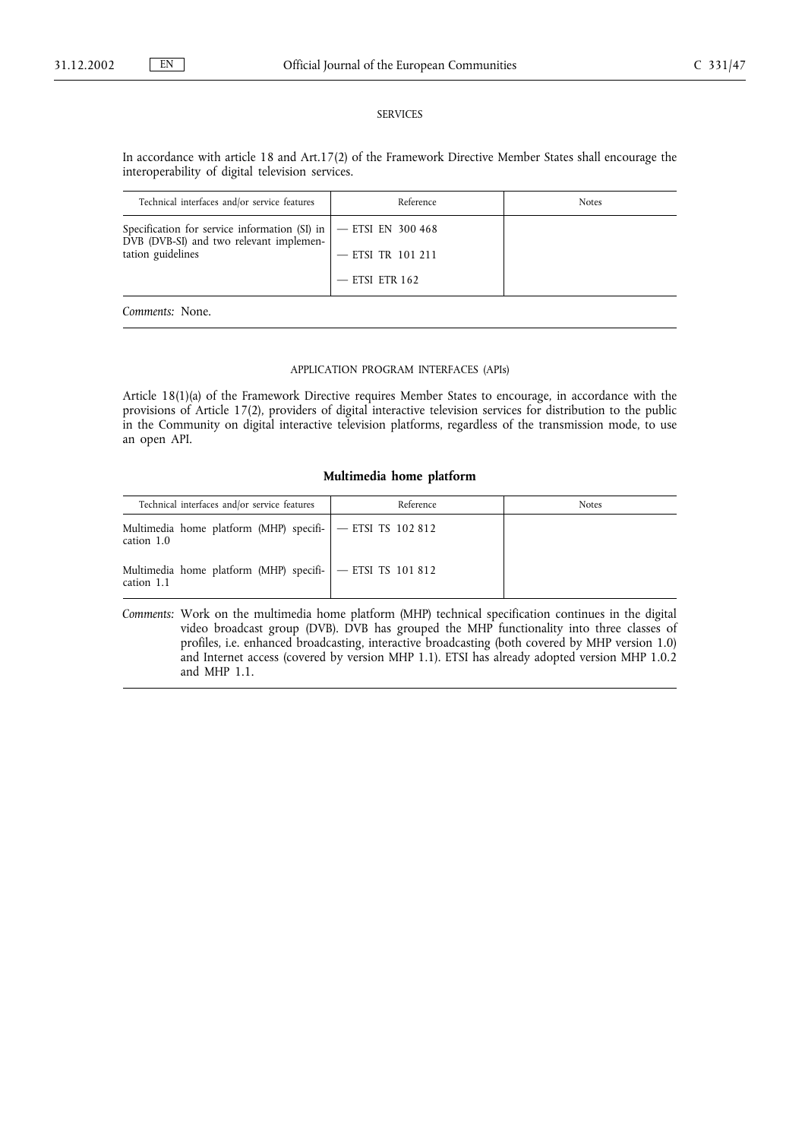#### SERVICES

In accordance with article 18 and Art.17(2) of the Framework Directive Member States shall encourage the interoperability of digital television services.

| Technical interfaces and/or service features                                                                                       | Reference           | <b>Notes</b> |
|------------------------------------------------------------------------------------------------------------------------------------|---------------------|--------------|
| Specification for service information (SI) in $ -$ ETSI EN 300 468<br>DVB (DVB-SI) and two relevant implemen-<br>tation guidelines |                     |              |
|                                                                                                                                    | $-$ ETSI TR 101 211 |              |
|                                                                                                                                    | $-$ ETSI ETR 162    |              |
| Comments: None.                                                                                                                    |                     |              |

## APPLICATION PROGRAM INTERFACES (APIs)

Article 18(1)(a) of the Framework Directive requires Member States to encourage, in accordance with the provisions of Article 17(2), providers of digital interactive television services for distribution to the public in the Community on digital interactive television platforms, regardless of the transmission mode, to use an open API.

## **Multimedia home platform**

| Technical interfaces and/or service features                            | Reference | <b>Notes</b> |
|-------------------------------------------------------------------------|-----------|--------------|
| Multimedia home platform (MHP) specifi- - ETSI TS 102 812<br>cation 1.0 |           |              |
| Multimedia home platform (MHP) specifi- - ETSI TS 101 812<br>cation 1.1 |           |              |

*Comments:* Work on the multimedia home platform (MHP) technical specification continues in the digital video broadcast group (DVB). DVB has grouped the MHP functionality into three classes of profiles, i.e. enhanced broadcasting, interactive broadcasting (both covered by MHP version 1.0) and Internet access (covered by version MHP 1.1). ETSI has already adopted version MHP 1.0.2 and MHP 1.1.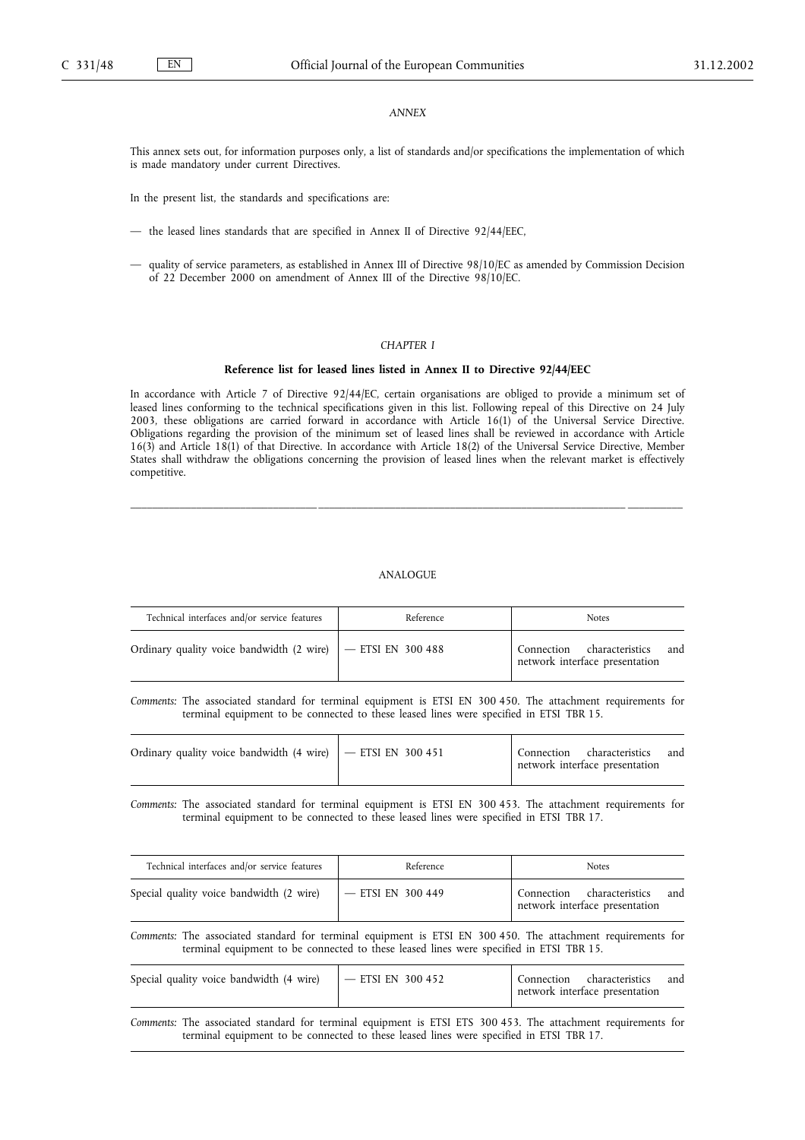## *ANNEX*

This annex sets out, for information purposes only, a list of standards and/or specifications the implementation of which is made mandatory under current Directives.

In the present list, the standards and specifications are:

- the leased lines standards that are specified in Annex II of Directive 92/44/EEC,
- quality of service parameters, as established in Annex III of Directive 98/10/EC as amended by Commission Decision of 22 December 2000 on amendment of Annex III of the Directive 98/10/EC.

#### *CHAPTER I*

## **Reference list for leased lines listed in Annex II to Directive 92/44/EEC**

In accordance with Article 7 of Directive 92/44/EC, certain organisations are obliged to provide a minimum set of leased lines conforming to the technical specifications given in this list. Following repeal of this Directive on 24 July 2003, these obligations are carried forward in accordance with Article 16(1) of the Universal Service Directive. Obligations regarding the provision of the minimum set of leased lines shall be reviewed in accordance with Article 16(3) and Article 18(1) of that Directive. In accordance with Article 18(2) of the Universal Service Directive, Member States shall withdraw the obligations concerning the provision of leased lines when the relevant market is effectively competitive.

\_\_\_\_\_\_\_\_\_\_\_\_\_\_\_\_\_\_\_\_\_\_\_\_\_\_\_\_\_\_\_\_\_\_ \_\_\_\_\_\_\_\_\_\_\_\_\_\_\_\_\_\_\_\_\_\_\_\_\_\_\_\_\_\_\_\_\_\_\_\_\_\_\_\_\_\_\_\_\_\_\_\_\_\_\_\_\_\_\_\_ \_\_\_\_\_\_\_\_\_\_

## ANALOGUE

| Technical interfaces and/or service features | Reference | <b>Notes</b>                                                     |
|----------------------------------------------|-----------|------------------------------------------------------------------|
|                                              |           | Connection characteristics and<br>network interface presentation |

*Comments:* The associated standard for terminal equipment is ETSI EN 300 450. The attachment requirements for terminal equipment to be connected to these leased lines were specified in ETSI TBR 15.

|  | Connection characteristics and<br>network interface presentation |  |
|--|------------------------------------------------------------------|--|
|  |                                                                  |  |

*Comments:* The associated standard for terminal equipment is ETSI EN 300 453. The attachment requirements for terminal equipment to be connected to these leased lines were specified in ETSI TBR 17.

| Technical interfaces and/or service features                                                                                                                                                            | Reference                                                                               | <b>Notes</b>                                                        |
|---------------------------------------------------------------------------------------------------------------------------------------------------------------------------------------------------------|-----------------------------------------------------------------------------------------|---------------------------------------------------------------------|
| Special quality voice bandwidth (2 wire)                                                                                                                                                                | $-$ ETSI EN 300 449                                                                     | Connection characteristics<br>and<br>network interface presentation |
| Comments: The associated standard for terminal equipment is ETSI EN 300 450. The attachment requirements for<br>terminal equipment to be connected to these leased lines were specified in ETSI TBR 15. |                                                                                         |                                                                     |
| Special quality voice bandwidth (4 wire)                                                                                                                                                                | $-$ ETSI EN 300 452                                                                     | Connection characteristics<br>and<br>network interface presentation |
| Comments: The associated standard for terminal equipment is ETSI ETS 300 453. The attachment requirements for                                                                                           | terminal equipment to be connected to these leased lines were specified in ETSI TBR 17. |                                                                     |